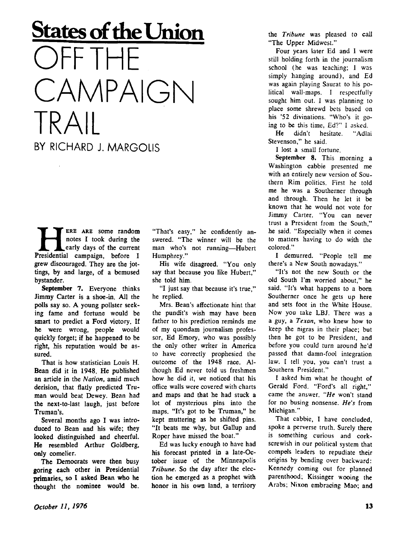## **States of the Union DFF THF** CAMPAIGN TRAIL BY RICHARD J. MARGOLIS

**HERE ARE SOME random**<br>notes I took during the<br>Presidential campaign, before I ERE ARE some random notes I took during the early days of the current grew discouraged. They are the jottings, by and large, of a bemused bystander.

**September 7.** Everyone thinks Jimmy Carter is a shoe-in. All the polls say so. A young pollster seeking fame and fortune would be smart to predict a Ford victory. If he were wrong, people would quickly forget; if he happened to be right, his reputation would be assured.

That is how statistician Louis H. Bean did it in 1948. He published an article in the *Nation,* amid much derision, that flatly predicted Truman would beat Dewey. Bean had the next-to-last laugh, just before Truman's.

Several months ago I was introduced to Bean and his wife; they looked distinguished and cheerful. He resembled Arthur Goldberg, only comelier.

The Democrats were then busy goring each other in Presidential primaries, so I asked Bean who he thought the nominee would be. "That's easy," he confidently answered. "The winner will be the man who's not running—Hubert Humphrey."

His wife disagreed. "You only say that because you like Hubert," she told him.

"I just say that because it's true," he replied.

Mrs. Bean's affectionate hint that the pundit's wish may have been father to his prediction reminds me of my quondam journalism professor, Ed Emory, who was possibly the only other writer in America to have correctly prophesied the outcome of the 1948 race. Although Ed never told us freshmen how he did it, we noticed that his office walls were covered with charts and maps and that he had stuck a lot of mysterious pins into the maps. "It's got to be Truman," he kept muttering as he shifted pins. "It beats me why, but Gallup and Roper have missed the boat."

Ed was lucky enough to have had his forecast printed in a late-October issue of the Minneapolis *Tribune.* So the day after the election he emerged as a prophet with honor in his own land, a territory the *Tribune* was pleased to call "The Upper Midwest."

Four years later Ed and I were still holding forth in the journalism school (he was teaching; I was  $simply$  hanging around), and  $Ed$ was again playing Saurat to his political wall-maps. I respectfully sought him out. I was planning to place some shrewd bets based on his '52 divinations. "Who's it going to be this time, Ed?" I asked.

He didn't hesitate. "Adlai Stevenson," he said.

I lost a small fortune.

September 8. This morning a Washington cabbie presented me with an entirely new version of Southern Rim politics. First he told me he was a Southerner through and through. Then he let it be known that he would not vote for Jimmy Carter. "You can never trust a President from the South," he said. "Especially when it comes to matters having to do with the colored."

I demurred. "People tell me there's a New South nowadays."

"It's not the new South or the old South I'm worried about," he said. "It's what happens to a born Southerner once he gets up here and sets foot in the White House. Now you take LBJ. There was a a guy, a *Texan,* who knew how to keep the nigras in their place; but then he got to be President, and before you could turn around he'd passed that damn-fool integration law. I tell you, you can't trust a Southern President."

I asked him what he thought of Gerald Ford. "Ford's all right," came the answer. *"He* won't stand for no busing nonsense. *He's* from Michigan."

That cabbie, I have concluded, spoke a perverse truth. Surely there is something curious and corkscrewish in our political system that compels leaders to repudiate their origins by bending over backward: Kennedy coming out for planned parenthood; Kissinger wooing the Arabs; Nixon embracing Mao; and